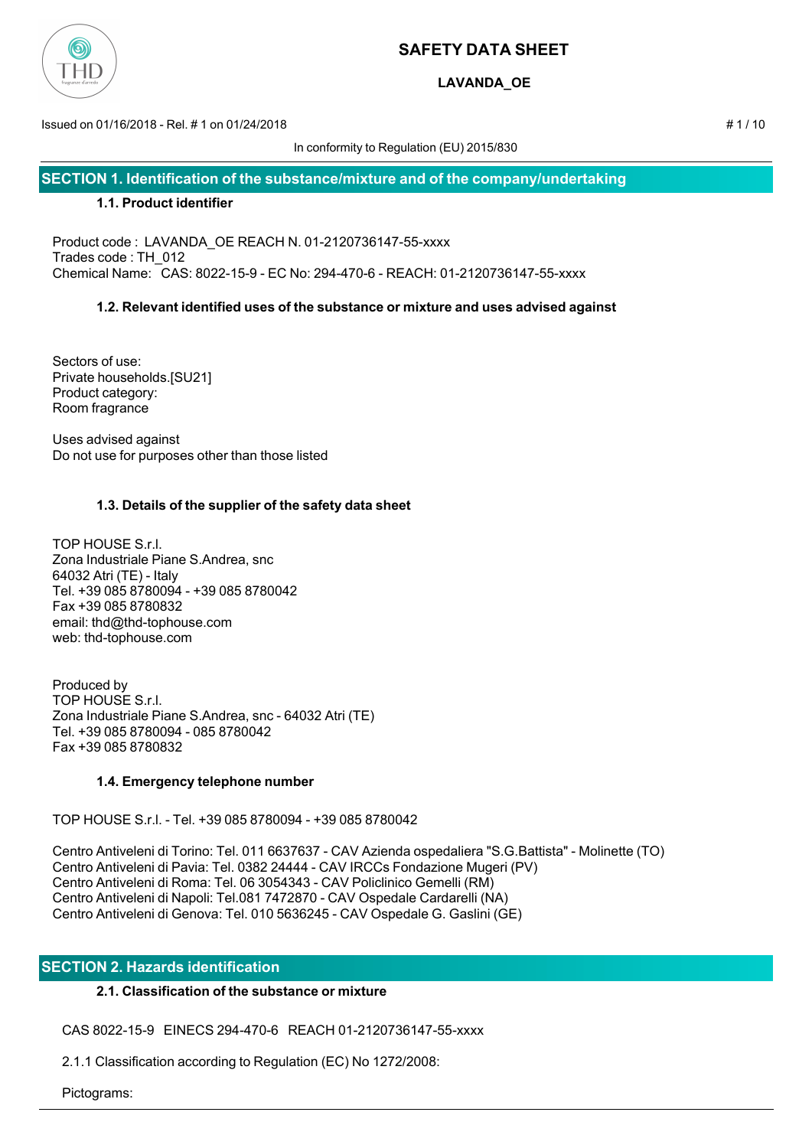

## **LAVANDA\_OE**

Issued on 01/16/2018 - Rel. # 1 on 01/24/2018 # 1 / 10

In conformity to Regulation (EU) 2015/830

**SECTION 1. Identification of the substance/mixture and of the company/undertaking**

## **1.1. Product identifier**

Product code : LAVANDA\_OE REACH N. 01-2120736147-55-xxxx Trades code : TH\_012 Chemical Name: CAS: 8022-15-9 - EC No: 294-470-6 - REACH: 01-2120736147-55-xxxx

## **1.2. Relevant identified uses of the substance or mixture and uses advised against**

Sectors of use: Private households.[SU21] Product category: Room fragrance

Uses advised against Do not use for purposes other than those listed

## **1.3. Details of the supplier of the safety data sheet**

TOP HOUSE S.r.l. Zona Industriale Piane S.Andrea, snc 64032 Atri (TE) - Italy Tel. +39 085 8780094 - +39 085 8780042 Fax +39 085 8780832 email: thd@thd-tophouse.com web: thd-tophouse.com

Produced by TOP HOUSE S.r.l. Zona Industriale Piane S.Andrea, snc - 64032 Atri (TE) Tel. +39 085 8780094 - 085 8780042 Fax +39 085 8780832

## **1.4. Emergency telephone number**

TOP HOUSE S.r.l. - Tel. +39 085 8780094 - +39 085 8780042

Centro Antiveleni di Torino: Tel. 011 6637637 - CAV Azienda ospedaliera "S.G.Battista" - Molinette (TO) Centro Antiveleni di Pavia: Tel. 0382 24444 - CAV IRCCs Fondazione Mugeri (PV) Centro Antiveleni di Roma: Tel. 06 3054343 - CAV Policlinico Gemelli (RM) Centro Antiveleni di Napoli: Tel.081 7472870 - CAV Ospedale Cardarelli (NA) Centro Antiveleni di Genova: Tel. 010 5636245 - CAV Ospedale G. Gaslini (GE)

## **SECTION 2. Hazards identification**

## **2.1. Classification of the substance or mixture**

CAS 8022-15-9 EINECS 294-470-6 REACH 01-2120736147-55-xxxx

2.1.1 Classification according to Regulation (EC) No 1272/2008:

Pictograms: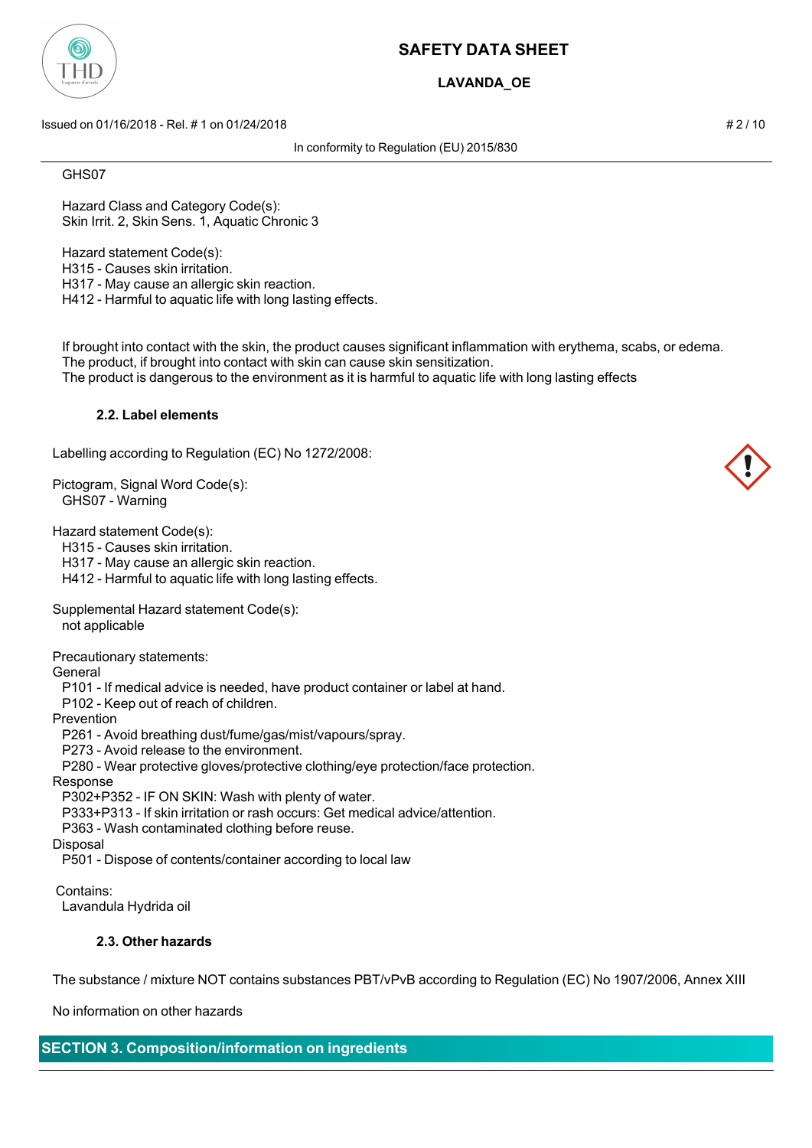

## **LAVANDA\_OE**

Issued on 01/16/2018 - Rel. # 1 on 01/24/2018 # 2 / 10

In conformity to Regulation (EU) 2015/830

#### GHS07

 Hazard Class and Category Code(s): Skin Irrit. 2, Skin Sens. 1, Aquatic Chronic 3

 Hazard statement Code(s): H315 - Causes skin irritation. H317 - May cause an allergic skin reaction. H412 - Harmful to aquatic life with long lasting effects.

 If brought into contact with the skin, the product causes significant inflammation with erythema, scabs, or edema. The product, if brought into contact with skin can cause skin sensitization.

The product is dangerous to the environment as it is harmful to aquatic life with long lasting effects

#### **2.2. Label elements**

Labelling according to Regulation (EC) No 1272/2008:

Pictogram, Signal Word Code(s): GHS07 - Warning

Hazard statement Code(s):

H315 - Causes skin irritation.

H317 - May cause an allergic skin reaction.

H412 - Harmful to aquatic life with long lasting effects.

Supplemental Hazard statement Code(s):

not applicable

Precautionary statements:

General

P101 - If medical advice is needed, have product container or label at hand.

P102 - Keep out of reach of children.

Prevention

P261 - Avoid breathing dust/fume/gas/mist/vapours/spray.

P273 - Avoid release to the environment.

P280 - Wear protective gloves/protective clothing/eye protection/face protection.

#### Response

P302+P352 - IF ON SKIN: Wash with plenty of water.

P333+P313 - If skin irritation or rash occurs: Get medical advice/attention.

P363 - Wash contaminated clothing before reuse.

Disposal

P501 - Dispose of contents/container according to local law

Contains:

Lavandula Hydrida oil

## **2.3. Other hazards**

The substance / mixture NOT contains substances PBT/vPvB according to Regulation (EC) No 1907/2006, Annex XIII

No information on other hazards

# **SECTION 3. Composition/information on ingredients**

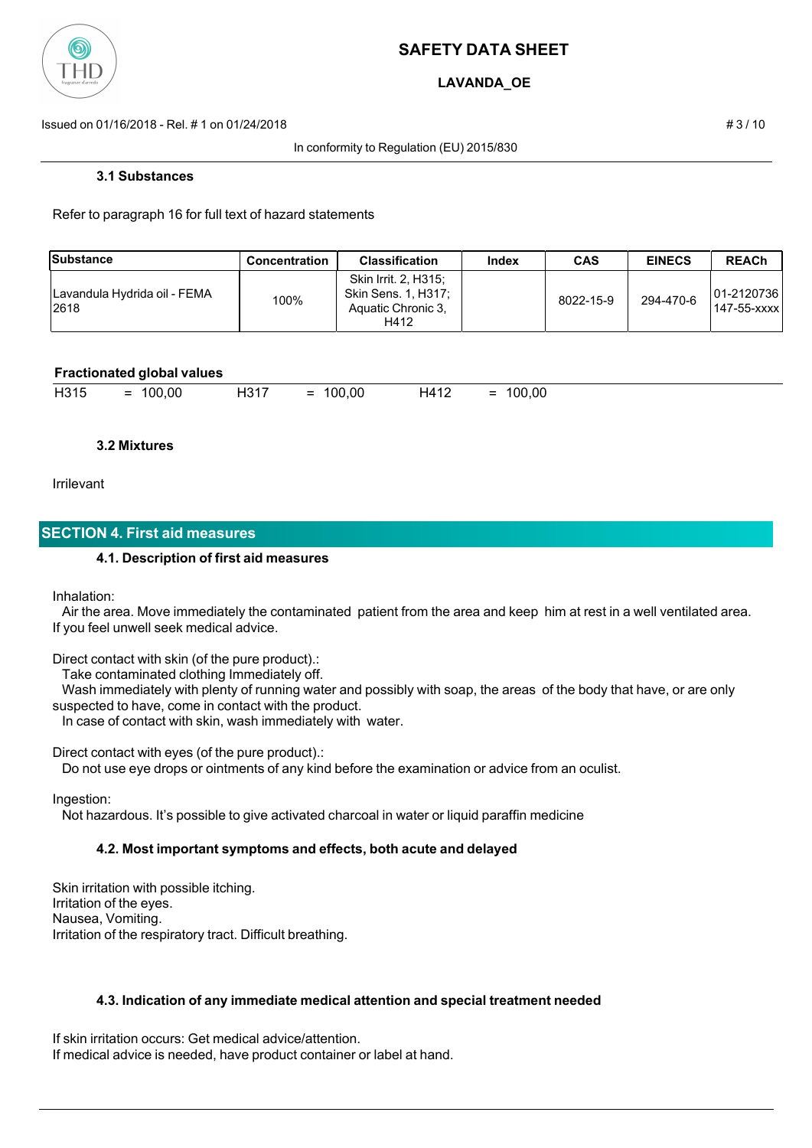

## **LAVANDA\_OE**

Issued on 01/16/2018 - Rel. # 1 on 01/24/2018 # 3 / 10

In conformity to Regulation (EU) 2015/830

#### **3.1 Substances**

Refer to paragraph 16 for full text of hazard statements

| Substance                             | <b>Concentration</b> | <b>Classification</b>                                                     | Index | <b>CAS</b> | <b>EINECS</b> | <b>REACh</b>                |
|---------------------------------------|----------------------|---------------------------------------------------------------------------|-------|------------|---------------|-----------------------------|
| Lavandula Hydrida oil - FEMA<br>12618 | 100%                 | Skin Irrit. 2, H315;<br>Skin Sens. 1, H317;<br>Aquatic Chronic 3.<br>H412 |       | 8022-15-9  | 294-470-6     | 101-21207361<br>147-55-xxxx |

#### **Fractionated global values**

| -1047<br>$H41^{\circ}$<br>100.00<br>100.00<br>.00<br>- ר<br>oo<br>-<br>-<br>$\overline{\phantom{0}}$<br>$\overline{\phantom{a}}$<br>. 10 1 1<br><b>ITIL</b><br>_<br>. . |
|-------------------------------------------------------------------------------------------------------------------------------------------------------------------------|
|-------------------------------------------------------------------------------------------------------------------------------------------------------------------------|

#### **3.2 Mixtures**

Irrilevant

## **SECTION 4. First aid measures**

#### **4.1. Description of first aid measures**

Inhalation:

 Air the area. Move immediately the contaminated patient from the area and keep him at rest in a well ventilated area. If you feel unwell seek medical advice.

Direct contact with skin (of the pure product).:

Take contaminated clothing Immediately off.

 Wash immediately with plenty of running water and possibly with soap, the areas of the body that have, or are only suspected to have, come in contact with the product.

In case of contact with skin, wash immediately with water.

Direct contact with eyes (of the pure product).:

Do not use eye drops or ointments of any kind before the examination or advice from an oculist.

Ingestion:

Not hazardous. It's possible to give activated charcoal in water or liquid paraffin medicine

#### **4.2. Most important symptoms and effects, both acute and delayed**

Skin irritation with possible itching. Irritation of the eyes. Nausea, Vomiting. Irritation of the respiratory tract. Difficult breathing.

#### **4.3. Indication of any immediate medical attention and special treatment needed**

If skin irritation occurs: Get medical advice/attention. If medical advice is needed, have product container or label at hand.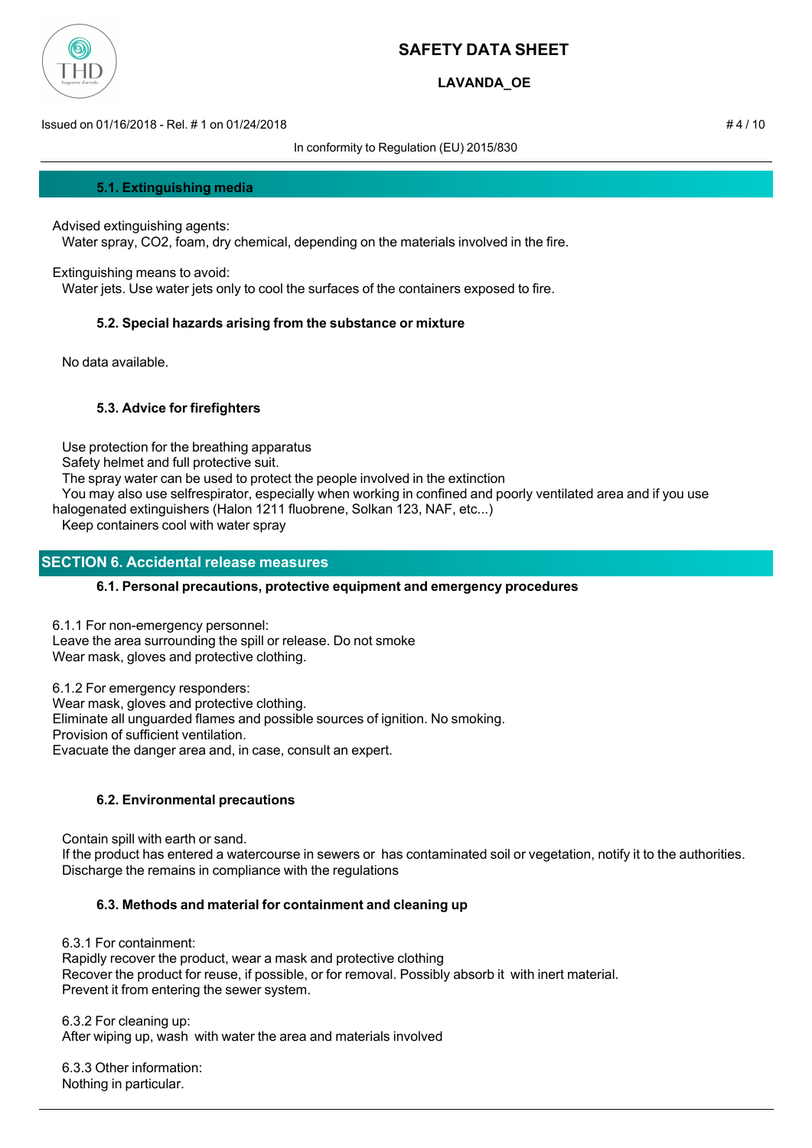

## **LAVANDA\_OE**

Issued on 01/16/2018 - Rel. # 1 on 01/24/2018 # 4 / 10

In conformity to Regulation (EU) 2015/830

**5.1. Extinguishing media**

Advised extinguishing agents: Water spray, CO2, foam, dry chemical, depending on the materials involved in the fire.

Extinguishing means to avoid:

Water jets. Use water jets only to cool the surfaces of the containers exposed to fire.

## **5.2. Special hazards arising from the substance or mixture**

No data available.

## **5.3. Advice for firefighters**

Use protection for the breathing apparatus

Safety helmet and full protective suit.

The spray water can be used to protect the people involved in the extinction

You may also use selfrespirator, especially when working in confined and poorly ventilated area and if you use

halogenated extinguishers (Halon 1211 fluobrene, Solkan 123, NAF, etc...)

Keep containers cool with water spray

## **SECTION 6. Accidental release measures**

## **6.1. Personal precautions, protective equipment and emergency procedures**

6.1.1 For non-emergency personnel: Leave the area surrounding the spill or release. Do not smoke Wear mask, gloves and protective clothing.

6.1.2 For emergency responders: Wear mask, gloves and protective clothing. Eliminate all unguarded flames and possible sources of ignition. No smoking. Provision of sufficient ventilation. Evacuate the danger area and, in case, consult an expert.

## **6.2. Environmental precautions**

 Contain spill with earth or sand. If the product has entered a watercourse in sewers or has contaminated soil or vegetation, notify it to the authorities. Discharge the remains in compliance with the regulations

## **6.3. Methods and material for containment and cleaning up**

6.3.1 For containment:

 Rapidly recover the product, wear a mask and protective clothing Recover the product for reuse, if possible, or for removal. Possibly absorb it with inert material. Prevent it from entering the sewer system.

 6.3.2 For cleaning up: After wiping up, wash with water the area and materials involved

 6.3.3 Other information: Nothing in particular.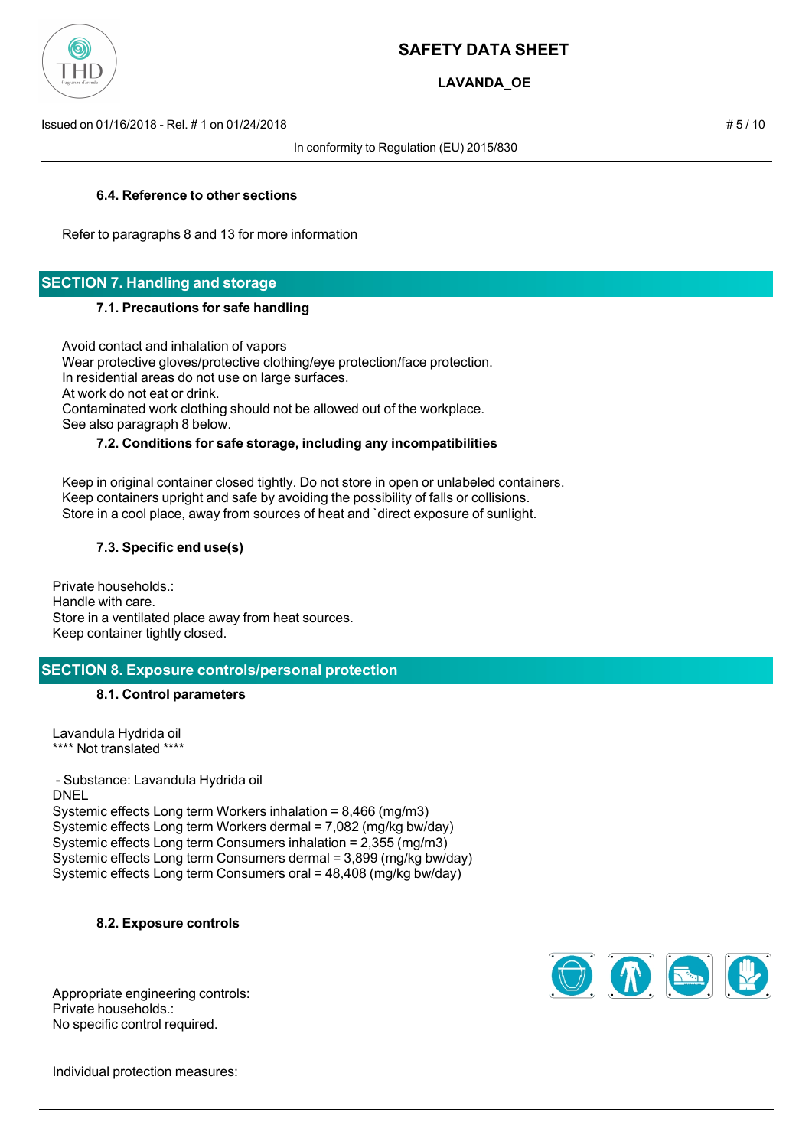

## **LAVANDA\_OE**

Issued on 01/16/2018 - Rel. # 1 on 01/24/2018 # 5 / 10

In conformity to Regulation (EU) 2015/830

## **6.4. Reference to other sections**

Refer to paragraphs 8 and 13 for more information

## **SECTION 7. Handling and storage**

#### **7.1. Precautions for safe handling**

Avoid contact and inhalation of vapors

 Wear protective gloves/protective clothing/eye protection/face protection. In residential areas do not use on large surfaces. At work do not eat or drink. Contaminated work clothing should not be allowed out of the workplace.

## See also paragraph 8 below.

#### **7.2. Conditions for safe storage, including any incompatibilities**

 Keep in original container closed tightly. Do not store in open or unlabeled containers. Keep containers upright and safe by avoiding the possibility of falls or collisions. Store in a cool place, away from sources of heat and `direct exposure of sunlight.

## **7.3. Specific end use(s)**

Private households.: Handle with care. Store in a ventilated place away from heat sources. Keep container tightly closed.

## **SECTION 8. Exposure controls/personal protection**

#### **8.1. Control parameters**

Lavandula Hydrida oil \*\*\*\* Not translated \*\*\*\*

 - Substance: Lavandula Hydrida oil DNEL Systemic effects Long term Workers inhalation = 8,466 (mg/m3) Systemic effects Long term Workers dermal = 7,082 (mg/kg bw/day) Systemic effects Long term Consumers inhalation = 2,355 (mg/m3) Systemic effects Long term Consumers dermal = 3,899 (mg/kg bw/day) Systemic effects Long term Consumers oral = 48,408 (mg/kg bw/day)

**8.2. Exposure controls**



Appropriate engineering controls: Private households.: No specific control required.

Individual protection measures: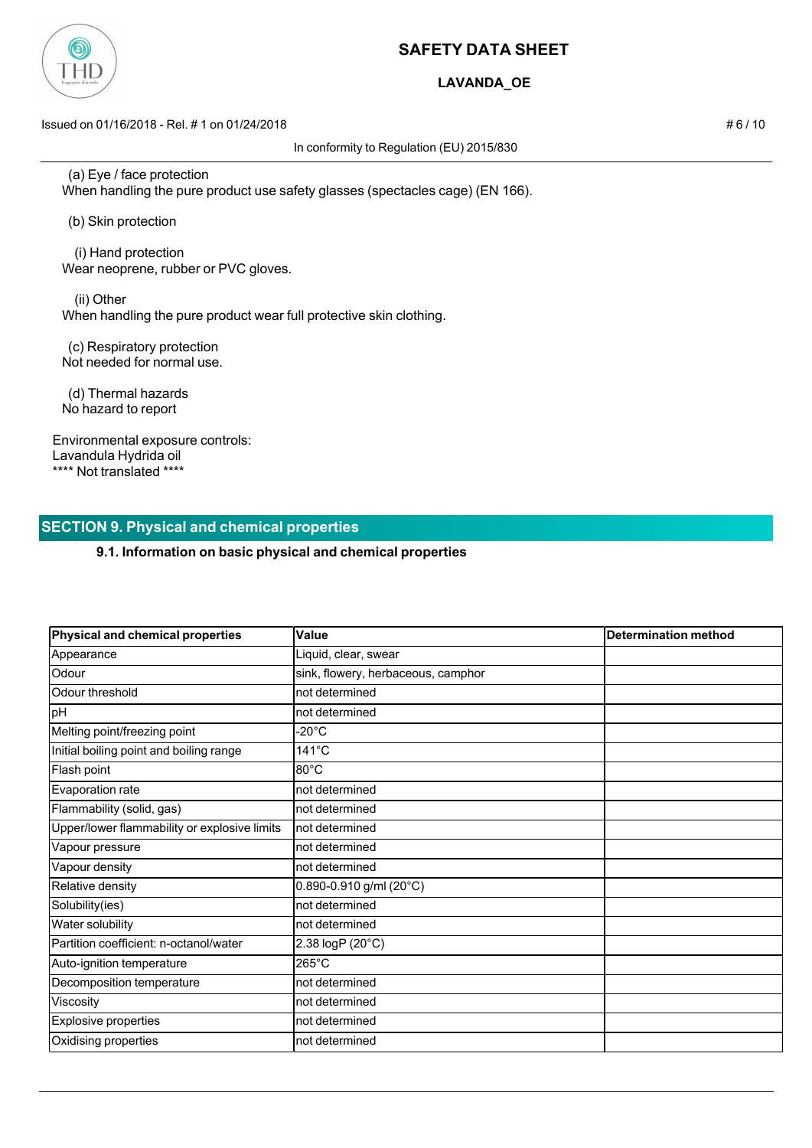

## **LAVANDA\_OE**

Issued on 01/16/2018 - Rel. # 1 on 01/24/2018 # 6 / 10

In conformity to Regulation (EU) 2015/830

 (a) Eye / face protection When handling the pure product use safety glasses (spectacles cage) (EN 166).

(b) Skin protection

 (i) Hand protection Wear neoprene, rubber or PVC gloves.

 (ii) Other When handling the pure product wear full protective skin clothing.

 (c) Respiratory protection Not needed for normal use.

 (d) Thermal hazards No hazard to report

Environmental exposure controls: Lavandula Hydrida oil \*\*\*\* Not translated \*\*\*\*

## **SECTION 9. Physical and chemical properties**

## **9.1. Information on basic physical and chemical properties**

| Physical and chemical properties             | Value                              | <b>Determination method</b> |
|----------------------------------------------|------------------------------------|-----------------------------|
| Appearance                                   | Liquid, clear, swear               |                             |
| Odour                                        | sink, flowery, herbaceous, camphor |                             |
| Odour threshold                              | not determined                     |                             |
| pH                                           | not determined                     |                             |
| Melting point/freezing point                 | -20 $^{\circ}$ C                   |                             |
| Initial boiling point and boiling range      | $141^{\circ}$ C                    |                             |
| Flash point                                  | 80°C                               |                             |
| Evaporation rate                             | not determined                     |                             |
| Flammability (solid, gas)                    | not determined                     |                             |
| Upper/lower flammability or explosive limits | not determined                     |                             |
| Vapour pressure                              | not determined                     |                             |
| Vapour density                               | not determined                     |                             |
| Relative density                             | $0.890 - 0.910$ g/ml (20°C)        |                             |
| Solubility(ies)                              | not determined                     |                             |
| Water solubility                             | not determined                     |                             |
| Partition coefficient: n-octanol/water       | 2.38 logP (20°C)                   |                             |
| Auto-ignition temperature                    | 265°C                              |                             |
| Decomposition temperature                    | not determined                     |                             |
| Viscosity                                    | not determined                     |                             |
| <b>Explosive properties</b>                  | not determined                     |                             |
| Oxidising properties                         | not determined                     |                             |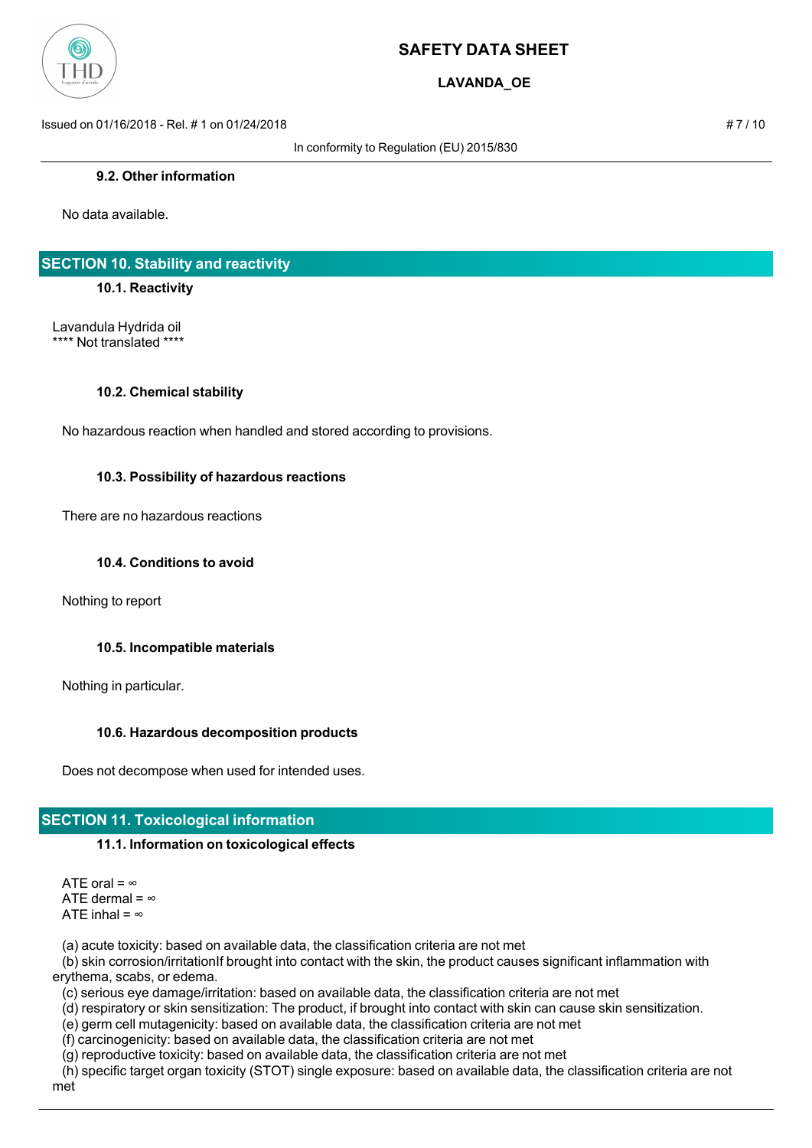

**LAVANDA\_OE**

Issued on 01/16/2018 - Rel. # 1 on 01/24/2018 # 7 / 10

In conformity to Regulation (EU) 2015/830

#### **9.2. Other information**

No data available.

## **SECTION 10. Stability and reactivity**

#### **10.1. Reactivity**

Lavandula Hydrida oil \*\*\*\* Not translated \*\*\*\*

#### **10.2. Chemical stability**

No hazardous reaction when handled and stored according to provisions.

#### **10.3. Possibility of hazardous reactions**

There are no hazardous reactions

#### **10.4. Conditions to avoid**

Nothing to report

#### **10.5. Incompatible materials**

Nothing in particular.

## **10.6. Hazardous decomposition products**

Does not decompose when used for intended uses.

## **SECTION 11. Toxicological information**

#### **11.1. Information on toxicological effects**

ATE oral =  $\infty$ ATE dermal =  $\infty$ ATE inhal =  $\infty$ 

(a) acute toxicity: based on available data, the classification criteria are not met

 (b) skin corrosion/irritationIf brought into contact with the skin, the product causes significant inflammation with erythema, scabs, or edema.

(c) serious eye damage/irritation: based on available data, the classification criteria are not met

(d) respiratory or skin sensitization: The product, if brought into contact with skin can cause skin sensitization.

(e) germ cell mutagenicity: based on available data, the classification criteria are not met

(f) carcinogenicity: based on available data, the classification criteria are not met

(g) reproductive toxicity: based on available data, the classification criteria are not met

 (h) specific target organ toxicity (STOT) single exposure: based on available data, the classification criteria are not met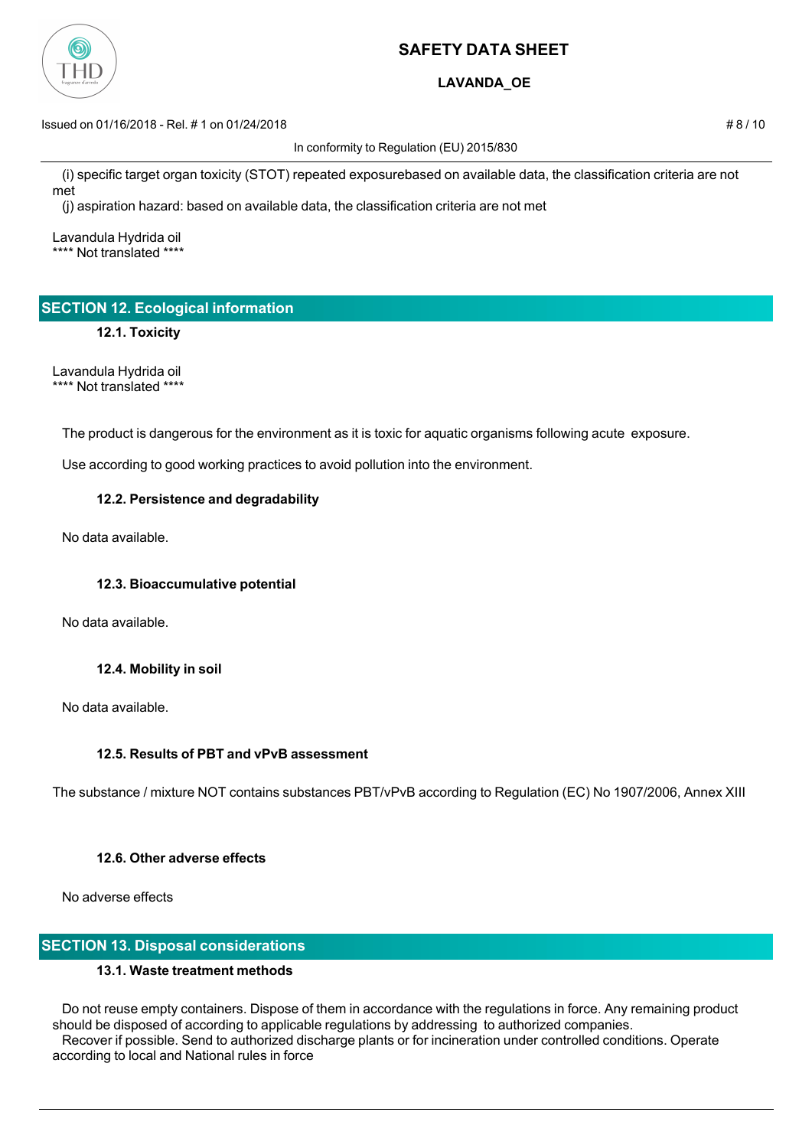

## **LAVANDA\_OE**

Issued on 01/16/2018 - Rel. # 1 on 01/24/2018 # 8 / 10

In conformity to Regulation (EU) 2015/830

 (i) specific target organ toxicity (STOT) repeated exposurebased on available data, the classification criteria are not met

(j) aspiration hazard: based on available data, the classification criteria are not met

Lavandula Hydrida oil \*\*\*\* Not translated \*\*\*\*

# **SECTION 12. Ecological information**

**12.1. Toxicity**

Lavandula Hydrida oil \*\*\*\* Not translated \*\*\*\*

The product is dangerous for the environment as it is toxic for aquatic organisms following acute exposure.

Use according to good working practices to avoid pollution into the environment.

## **12.2. Persistence and degradability**

No data available.

## **12.3. Bioaccumulative potential**

No data available.

## **12.4. Mobility in soil**

No data available.

## **12.5. Results of PBT and vPvB assessment**

The substance / mixture NOT contains substances PBT/vPvB according to Regulation (EC) No 1907/2006, Annex XIII

## **12.6. Other adverse effects**

No adverse effects

## **SECTION 13. Disposal considerations**

## **13.1. Waste treatment methods**

 Do not reuse empty containers. Dispose of them in accordance with the regulations in force. Any remaining product should be disposed of according to applicable regulations by addressing to authorized companies. Recover if possible. Send to authorized discharge plants or for incineration under controlled conditions. Operate according to local and National rules in force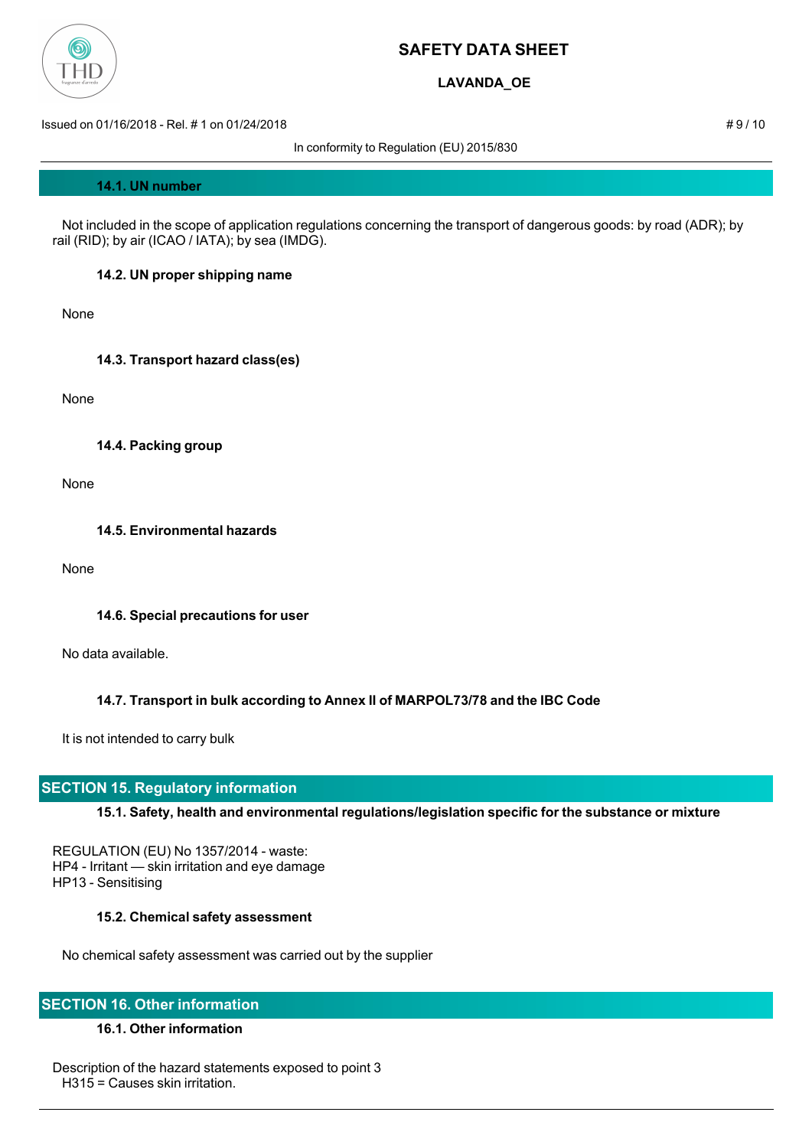

## **LAVANDA\_OE**

Issued on 01/16/2018 - Rel. # 1 on 01/24/2018 # 9 / 10

In conformity to Regulation (EU) 2015/830

#### **14.1. UN number**

 Not included in the scope of application regulations concerning the transport of dangerous goods: by road (ADR); by rail (RID); by air (ICAO / IATA); by sea (IMDG).

#### **14.2. UN proper shipping name**

None

**14.3. Transport hazard class(es)**

None

**14.4. Packing group**

None

**14.5. Environmental hazards**

None

#### **14.6. Special precautions for user**

No data available.

## **14.7. Transport in bulk according to Annex II of MARPOL73/78 and the IBC Code**

It is not intended to carry bulk

## **SECTION 15. Regulatory information**

## **15.1. Safety, health and environmental regulations/legislation specific for the substance or mixture**

REGULATION (EU) No 1357/2014 - waste: HP4 - Irritant — skin irritation and eye damage HP13 - Sensitising

#### **15.2. Chemical safety assessment**

No chemical safety assessment was carried out by the supplier

## **SECTION 16. Other information**

## **16.1. Other information**

Description of the hazard statements exposed to point 3 H315 = Causes skin irritation.